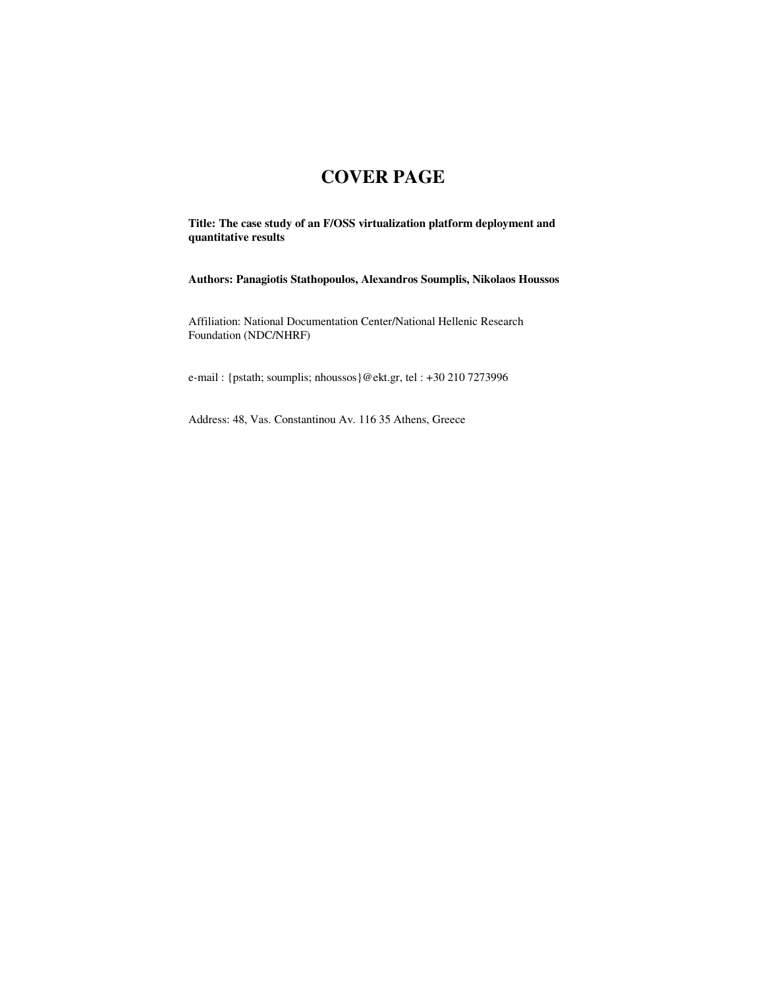## **COVER PAGE**

**Title: The case study of an F/OSS virtualization platform deployment and quantitative results** 

**Authors: Panagiotis Stathopoulos, Alexandros Soumplis, Nikolaos Houssos** 

Affiliation: National Documentation Center/National Hellenic Research Foundation (NDC/NHRF)

e-mail : {pstath; soumplis; nhoussos}@ekt.gr, tel : +30 210 7273996

Address: 48, Vas. Constantinou Av. 116 35 Athens, Greece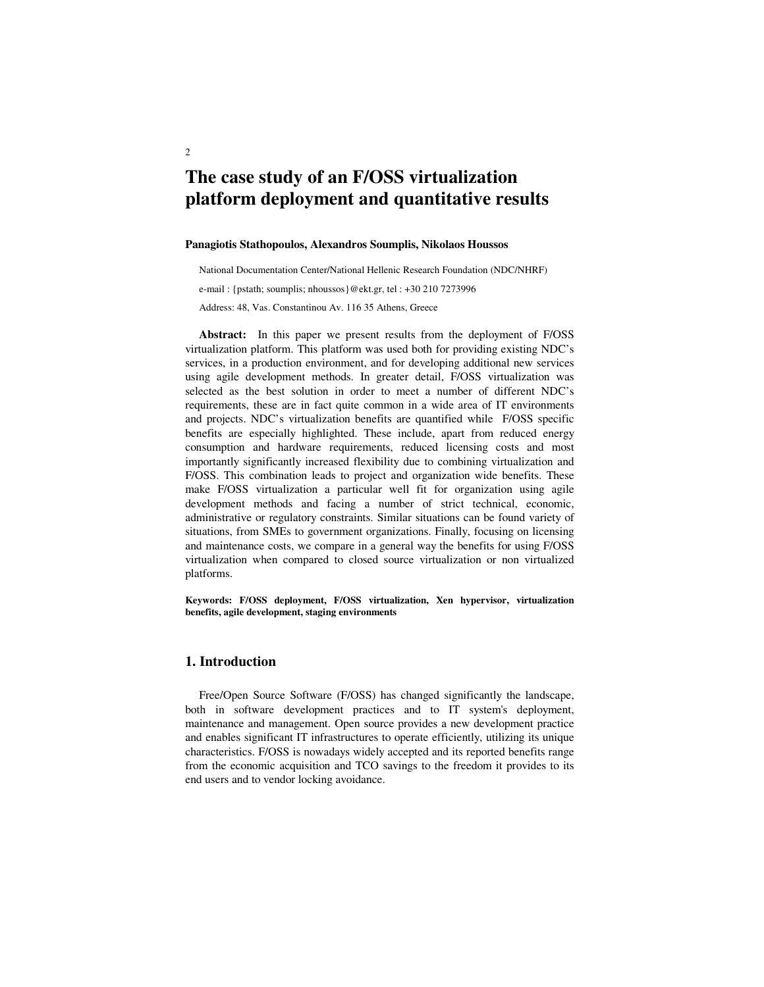# **The case study of an F/OSS virtualization platform deployment and quantitative results**

#### **Panagiotis Stathopoulos, Alexandros Soumplis, Nikolaos Houssos**

National Documentation Center/National Hellenic Research Foundation (NDC/NHRF)

e-mail : {pstath; soumplis; nhoussos}@ekt.gr, tel : +30 210 7273996

Address: 48, Vas. Constantinou Av. 116 35 Athens, Greece

**Abstract:** In this paper we present results from the deployment of F/OSS virtualization platform. This platform was used both for providing existing NDC's services, in a production environment, and for developing additional new services using agile development methods. In greater detail, F/OSS virtualization was selected as the best solution in order to meet a number of different NDC's requirements, these are in fact quite common in a wide area of IT environments and projects. NDC's virtualization benefits are quantified while F/OSS specific benefits are especially highlighted. These include, apart from reduced energy consumption and hardware requirements, reduced licensing costs and most importantly significantly increased flexibility due to combining virtualization and F/OSS. This combination leads to project and organization wide benefits. These make F/OSS virtualization a particular well fit for organization using agile development methods and facing a number of strict technical, economic, administrative or regulatory constraints. Similar situations can be found variety of situations, from SMEs to government organizations. Finally, focusing on licensing and maintenance costs, we compare in a general way the benefits for using F/OSS virtualization when compared to closed source virtualization or non virtualized platforms.

**Keywords: F/OSS deployment, F/OSS virtualization, Xen hypervisor, virtualization benefits, agile development, staging environments** 

### **1. Introduction**

Free/Open Source Software (F/OSS) has changed significantly the landscape, both in software development practices and to IT system's deployment, maintenance and management. Open source provides a new development practice and enables significant IT infrastructures to operate efficiently, utilizing its unique characteristics. F/OSS is nowadays widely accepted and its reported benefits range from the economic acquisition and TCO savings to the freedom it provides to its end users and to vendor locking avoidance.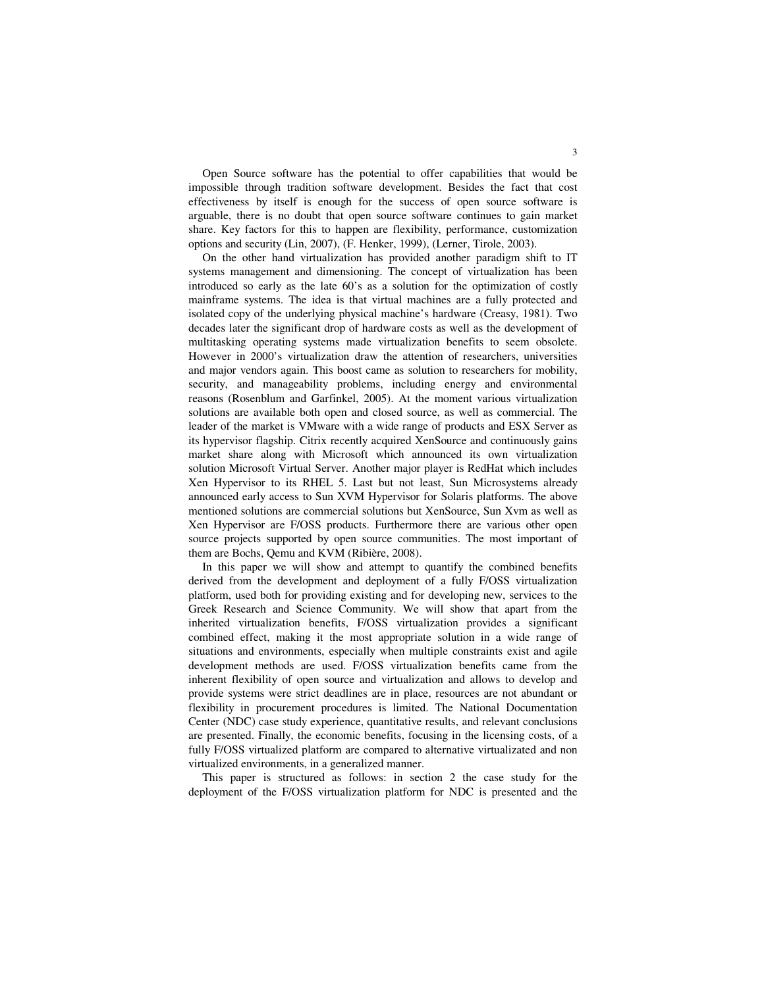Open Source software has the potential to offer capabilities that would be impossible through tradition software development. Besides the fact that cost effectiveness by itself is enough for the success of open source software is arguable, there is no doubt that open source software continues to gain market share. Key factors for this to happen are flexibility, performance, customization options and security (Lin, 2007), (F. Henker, 1999), (Lerner, Tirole, 2003).

On the other hand virtualization has provided another paradigm shift to IT systems management and dimensioning. The concept of virtualization has been introduced so early as the late 60's as a solution for the optimization of costly mainframe systems. The idea is that virtual machines are a fully protected and isolated copy of the underlying physical machine's hardware (Creasy, 1981). Two decades later the significant drop of hardware costs as well as the development of multitasking operating systems made virtualization benefits to seem obsolete. However in 2000's virtualization draw the attention of researchers, universities and major vendors again. This boost came as solution to researchers for mobility, security, and manageability problems, including energy and environmental reasons (Rosenblum and Garfinkel, 2005). At the moment various virtualization solutions are available both open and closed source, as well as commercial. The leader of the market is VMware with a wide range of products and ESX Server as its hypervisor flagship. Citrix recently acquired XenSource and continuously gains market share along with Microsoft which announced its own virtualization solution Microsoft Virtual Server. Another major player is RedHat which includes Xen Hypervisor to its RHEL 5. Last but not least, Sun Microsystems already announced early access to Sun XVM Hypervisor for Solaris platforms. The above mentioned solutions are commercial solutions but XenSource, Sun Xvm as well as Xen Hypervisor are F/OSS products. Furthermore there are various other open source projects supported by open source communities. The most important of them are Bochs, Qemu and KVM (Ribière, 2008).

In this paper we will show and attempt to quantify the combined benefits derived from the development and deployment of a fully F/OSS virtualization platform, used both for providing existing and for developing new, services to the Greek Research and Science Community. We will show that apart from the inherited virtualization benefits, F/OSS virtualization provides a significant combined effect, making it the most appropriate solution in a wide range of situations and environments, especially when multiple constraints exist and agile development methods are used. F/OSS virtualization benefits came from the inherent flexibility of open source and virtualization and allows to develop and provide systems were strict deadlines are in place, resources are not abundant or flexibility in procurement procedures is limited. The National Documentation Center (NDC) case study experience, quantitative results, and relevant conclusions are presented. Finally, the economic benefits, focusing in the licensing costs, of a fully F/OSS virtualized platform are compared to alternative virtualizated and non virtualized environments, in a generalized manner.

This paper is structured as follows: in section 2 the case study for the deployment of the F/OSS virtualization platform for NDC is presented and the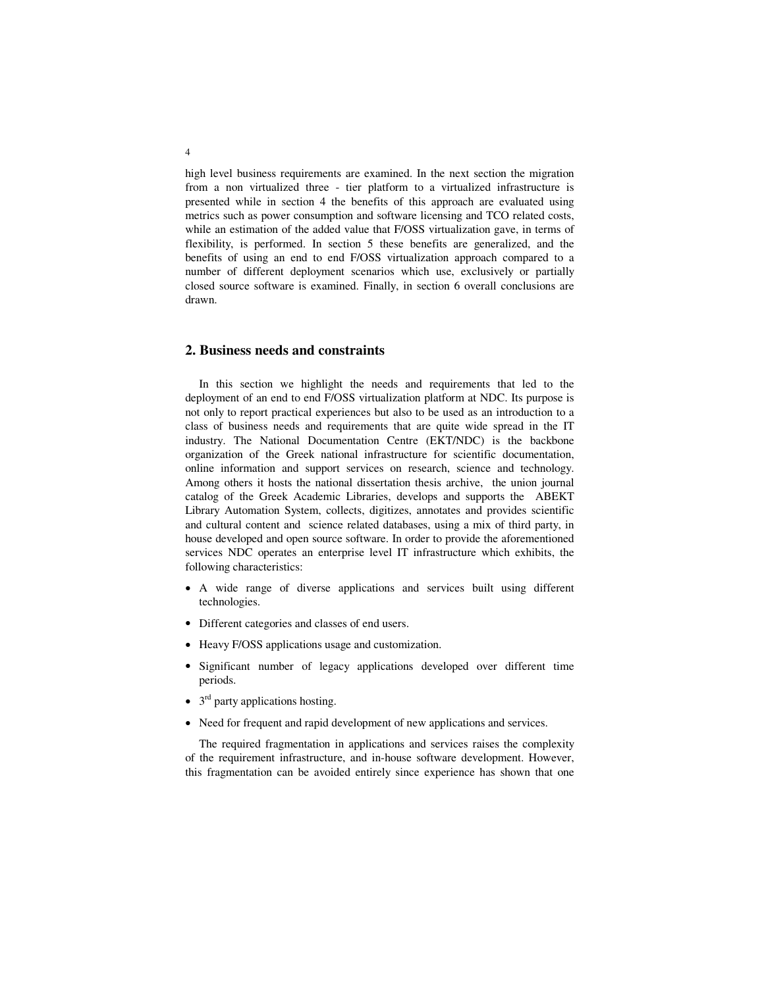high level business requirements are examined. In the next section the migration from a non virtualized three - tier platform to a virtualized infrastructure is presented while in section 4 the benefits of this approach are evaluated using metrics such as power consumption and software licensing and TCO related costs, while an estimation of the added value that F/OSS virtualization gave, in terms of flexibility, is performed. In section 5 these benefits are generalized, and the benefits of using an end to end F/OSS virtualization approach compared to a number of different deployment scenarios which use, exclusively or partially closed source software is examined. Finally, in section 6 overall conclusions are drawn.

### **2. Business needs and constraints**

In this section we highlight the needs and requirements that led to the deployment of an end to end F/OSS virtualization platform at NDC. Its purpose is not only to report practical experiences but also to be used as an introduction to a class of business needs and requirements that are quite wide spread in the IT industry. The National Documentation Centre (EKT/NDC) is the backbone organization of the Greek national infrastructure for scientific documentation, online information and support services on research, science and technology. Among others it hosts the national dissertation thesis archive, the union journal catalog of the Greek Academic Libraries, develops and supports the ABEKT Library Automation System, collects, digitizes, annotates and provides scientific and cultural content and science related databases, using a mix of third party, in house developed and open source software. In order to provide the aforementioned services NDC operates an enterprise level IT infrastructure which exhibits, the following characteristics:

- A wide range of diverse applications and services built using different technologies.
- Different categories and classes of end users.
- Heavy F/OSS applications usage and customization.
- Significant number of legacy applications developed over different time periods.
- $\bullet$  3<sup>rd</sup> party applications hosting.
- Need for frequent and rapid development of new applications and services.

The required fragmentation in applications and services raises the complexity of the requirement infrastructure, and in-house software development. However, this fragmentation can be avoided entirely since experience has shown that one

4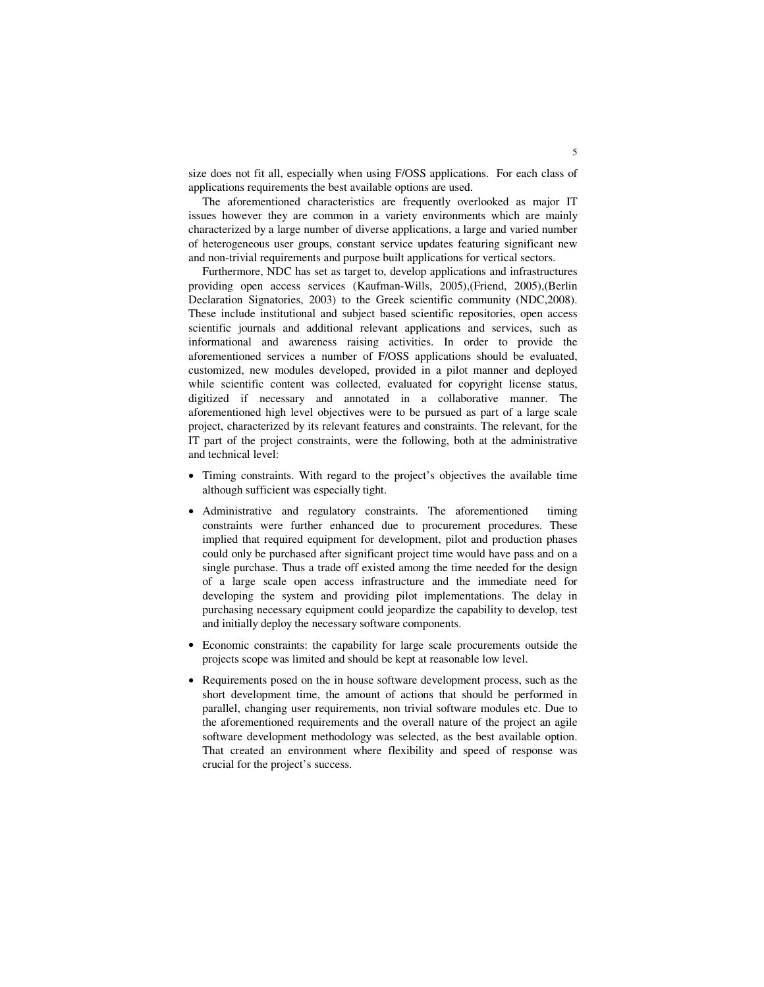size does not fit all, especially when using F/OSS applications. For each class of applications requirements the best available options are used.

The aforementioned characteristics are frequently overlooked as major IT issues however they are common in a variety environments which are mainly characterized by a large number of diverse applications, a large and varied number of heterogeneous user groups, constant service updates featuring significant new and non-trivial requirements and purpose built applications for vertical sectors.

Furthermore, NDC has set as target to, develop applications and infrastructures providing open access services (Kaufman-Wills, 2005),(Friend, 2005),(Berlin Declaration Signatories, 2003) to the Greek scientific community (NDC,2008). These include institutional and subject based scientific repositories, open access scientific journals and additional relevant applications and services, such as informational and awareness raising activities. In order to provide the aforementioned services a number of F/OSS applications should be evaluated, customized, new modules developed, provided in a pilot manner and deployed while scientific content was collected, evaluated for copyright license status, digitized if necessary and annotated in a collaborative manner. The aforementioned high level objectives were to be pursued as part of a large scale project, characterized by its relevant features and constraints. The relevant, for the IT part of the project constraints, were the following, both at the administrative and technical level:

- Timing constraints. With regard to the project's objectives the available time although sufficient was especially tight.
- Administrative and regulatory constraints. The aforementioned timing constraints were further enhanced due to procurement procedures. These implied that required equipment for development, pilot and production phases could only be purchased after significant project time would have pass and on a single purchase. Thus a trade off existed among the time needed for the design of a large scale open access infrastructure and the immediate need for developing the system and providing pilot implementations. The delay in purchasing necessary equipment could jeopardize the capability to develop, test and initially deploy the necessary software components.
- Economic constraints: the capability for large scale procurements outside the projects scope was limited and should be kept at reasonable low level.
- Requirements posed on the in house software development process, such as the short development time, the amount of actions that should be performed in parallel, changing user requirements, non trivial software modules etc. Due to the aforementioned requirements and the overall nature of the project an agile software development methodology was selected, as the best available option. That created an environment where flexibility and speed of response was crucial for the project's success.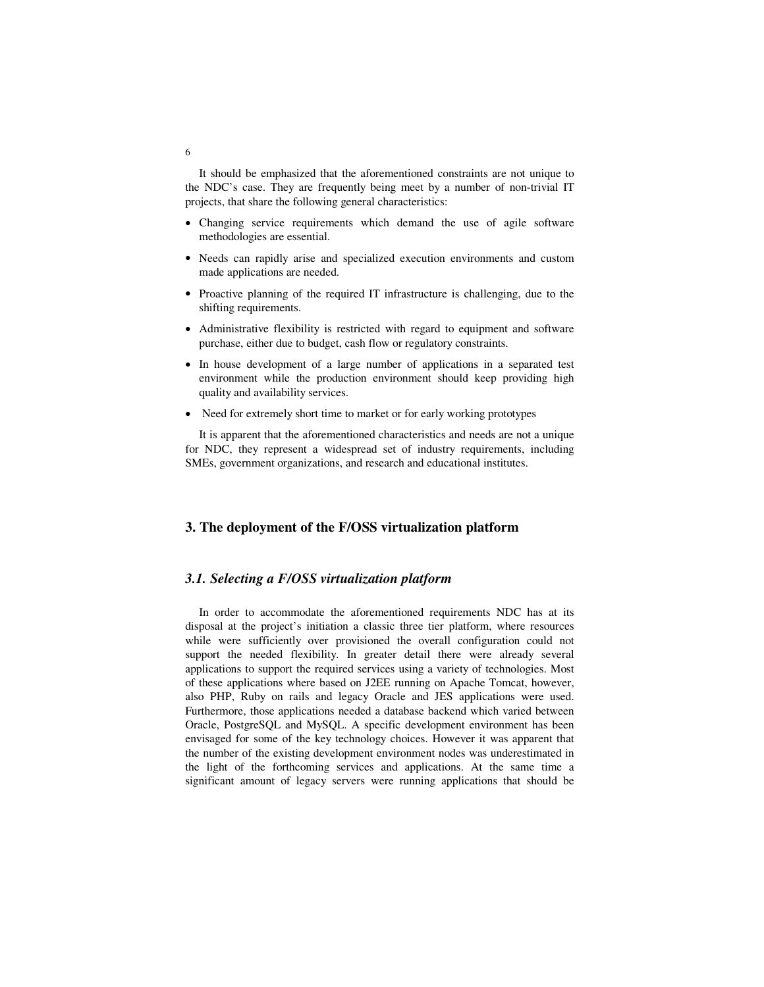It should be emphasized that the aforementioned constraints are not unique to the NDC's case. They are frequently being meet by a number of non-trivial IT projects, that share the following general characteristics:

- Changing service requirements which demand the use of agile software methodologies are essential.
- Needs can rapidly arise and specialized execution environments and custom made applications are needed.
- Proactive planning of the required IT infrastructure is challenging, due to the shifting requirements.
- Administrative flexibility is restricted with regard to equipment and software purchase, either due to budget, cash flow or regulatory constraints.
- In house development of a large number of applications in a separated test environment while the production environment should keep providing high quality and availability services.
- Need for extremely short time to market or for early working prototypes

It is apparent that the aforementioned characteristics and needs are not a unique for NDC, they represent a widespread set of industry requirements, including SMEs, government organizations, and research and educational institutes.

### **3. The deployment of the F/OSS virtualization platform**

### *3.1. Selecting a F/OSS virtualization platform*

In order to accommodate the aforementioned requirements NDC has at its disposal at the project's initiation a classic three tier platform, where resources while were sufficiently over provisioned the overall configuration could not support the needed flexibility. In greater detail there were already several applications to support the required services using a variety of technologies. Most of these applications where based on J2EE running on Apache Tomcat, however, also PHP, Ruby on rails and legacy Oracle and JES applications were used. Furthermore, those applications needed a database backend which varied between Oracle, PostgreSQL and MySQL. A specific development environment has been envisaged for some of the key technology choices. However it was apparent that the number of the existing development environment nodes was underestimated in the light of the forthcoming services and applications. At the same time a significant amount of legacy servers were running applications that should be

6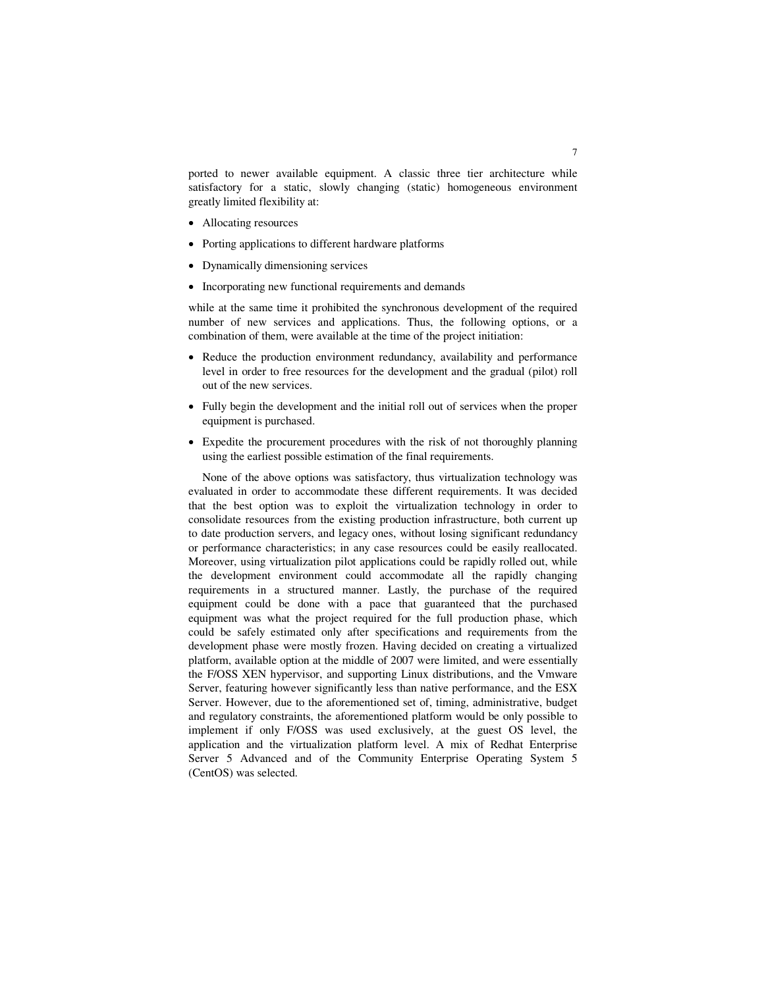ported to newer available equipment. A classic three tier architecture while satisfactory for a static, slowly changing (static) homogeneous environment greatly limited flexibility at:

- Allocating resources
- Porting applications to different hardware platforms
- Dynamically dimensioning services
- Incorporating new functional requirements and demands

while at the same time it prohibited the synchronous development of the required number of new services and applications. Thus, the following options, or a combination of them, were available at the time of the project initiation:

- Reduce the production environment redundancy, availability and performance level in order to free resources for the development and the gradual (pilot) roll out of the new services.
- Fully begin the development and the initial roll out of services when the proper equipment is purchased.
- Expedite the procurement procedures with the risk of not thoroughly planning using the earliest possible estimation of the final requirements.

None of the above options was satisfactory, thus virtualization technology was evaluated in order to accommodate these different requirements. It was decided that the best option was to exploit the virtualization technology in order to consolidate resources from the existing production infrastructure, both current up to date production servers, and legacy ones, without losing significant redundancy or performance characteristics; in any case resources could be easily reallocated. Moreover, using virtualization pilot applications could be rapidly rolled out, while the development environment could accommodate all the rapidly changing requirements in a structured manner. Lastly, the purchase of the required equipment could be done with a pace that guaranteed that the purchased equipment was what the project required for the full production phase, which could be safely estimated only after specifications and requirements from the development phase were mostly frozen. Having decided on creating a virtualized platform, available option at the middle of 2007 were limited, and were essentially the F/OSS XEN hypervisor, and supporting Linux distributions, and the Vmware Server, featuring however significantly less than native performance, and the ESX Server. However, due to the aforementioned set of, timing, administrative, budget and regulatory constraints, the aforementioned platform would be only possible to implement if only F/OSS was used exclusively, at the guest OS level, the application and the virtualization platform level. A mix of Redhat Enterprise Server 5 Advanced and of the Community Enterprise Operating System 5 (CentOS) was selected.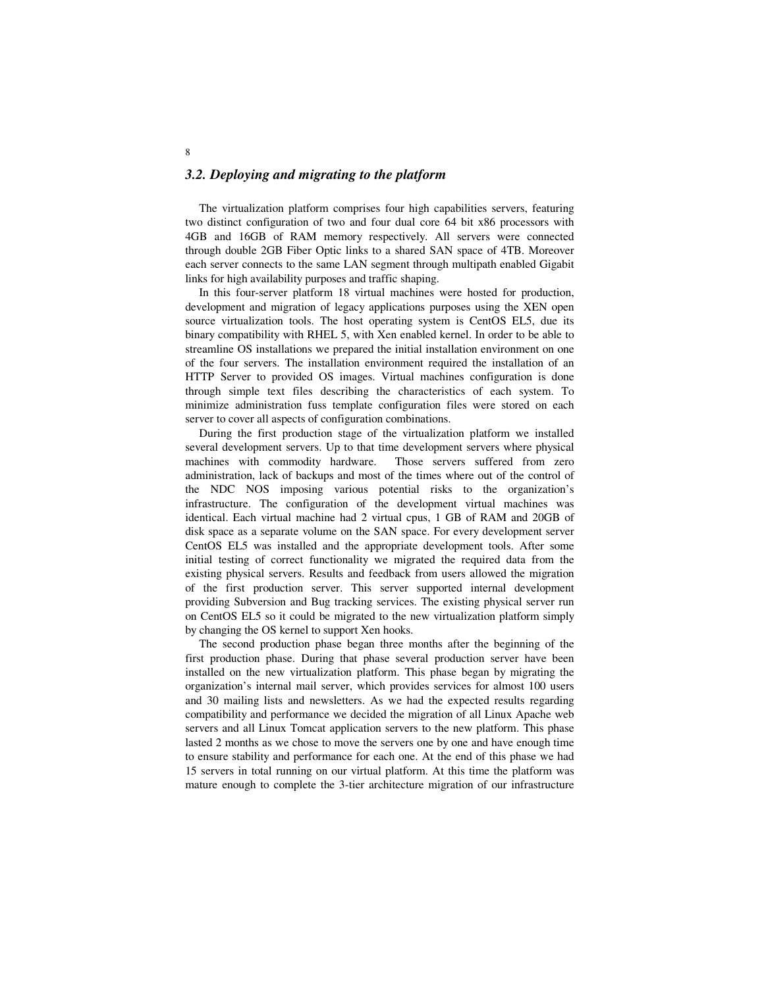### *3.2. Deploying and migrating to the platform*

The virtualization platform comprises four high capabilities servers, featuring two distinct configuration of two and four dual core 64 bit x86 processors with 4GB and 16GB of RAM memory respectively. All servers were connected through double 2GB Fiber Optic links to a shared SAN space of 4TB. Moreover each server connects to the same LAN segment through multipath enabled Gigabit links for high availability purposes and traffic shaping.

In this four-server platform 18 virtual machines were hosted for production, development and migration of legacy applications purposes using the XEN open source virtualization tools. The host operating system is CentOS EL5, due its binary compatibility with RHEL 5, with Xen enabled kernel. In order to be able to streamline OS installations we prepared the initial installation environment on one of the four servers. The installation environment required the installation of an HTTP Server to provided OS images. Virtual machines configuration is done through simple text files describing the characteristics of each system. To minimize administration fuss template configuration files were stored on each server to cover all aspects of configuration combinations.

During the first production stage of the virtualization platform we installed several development servers. Up to that time development servers where physical machines with commodity hardware. Those servers suffered from zero administration, lack of backups and most of the times where out of the control of the NDC NOS imposing various potential risks to the organization's infrastructure. The configuration of the development virtual machines was identical. Each virtual machine had 2 virtual cpus, 1 GB of RAM and 20GB of disk space as a separate volume on the SAN space. For every development server CentOS EL5 was installed and the appropriate development tools. After some initial testing of correct functionality we migrated the required data from the existing physical servers. Results and feedback from users allowed the migration of the first production server. This server supported internal development providing Subversion and Bug tracking services. The existing physical server run on CentOS EL5 so it could be migrated to the new virtualization platform simply by changing the OS kernel to support Xen hooks.

The second production phase began three months after the beginning of the first production phase. During that phase several production server have been installed on the new virtualization platform. This phase began by migrating the organization's internal mail server, which provides services for almost 100 users and 30 mailing lists and newsletters. As we had the expected results regarding compatibility and performance we decided the migration of all Linux Apache web servers and all Linux Tomcat application servers to the new platform. This phase lasted 2 months as we chose to move the servers one by one and have enough time to ensure stability and performance for each one. At the end of this phase we had 15 servers in total running on our virtual platform. At this time the platform was mature enough to complete the 3-tier architecture migration of our infrastructure

8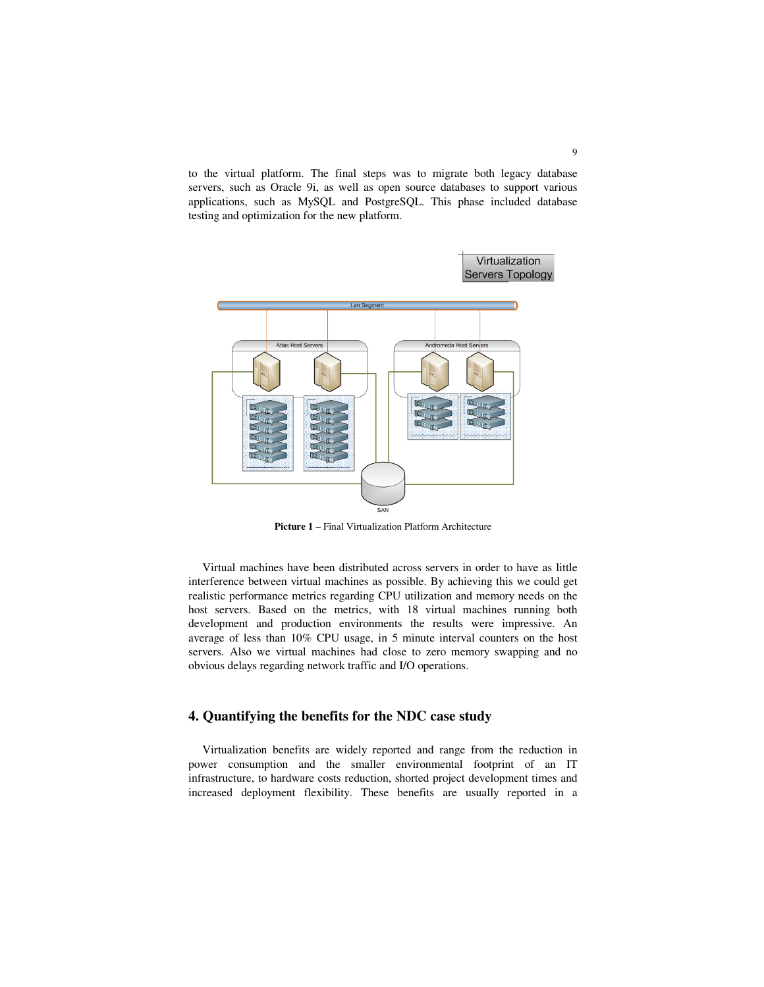to the virtual platform. The final steps was to migrate both legacy database servers, such as Oracle 9i, as well as open source databases to support various applications, such as MySQL and PostgreSQL. This phase included database testing and optimization for the new platform.



**Picture 1** – Final Virtualization Platform Architecture

Virtual machines have been distributed across servers in order to have as little interference between virtual machines as possible. By achieving this we could get realistic performance metrics regarding CPU utilization and memory needs on the host servers. Based on the metrics, with 18 virtual machines running both development and production environments the results were impressive. An average of less than 10% CPU usage, in 5 minute interval counters on the host servers. Also we virtual machines had close to zero memory swapping and no obvious delays regarding network traffic and I/O operations.

## **4. Quantifying the benefits for the NDC case study**

Virtualization benefits are widely reported and range from the reduction in power consumption and the smaller environmental footprint of an IT infrastructure, to hardware costs reduction, shorted project development times and increased deployment flexibility. These benefits are usually reported in a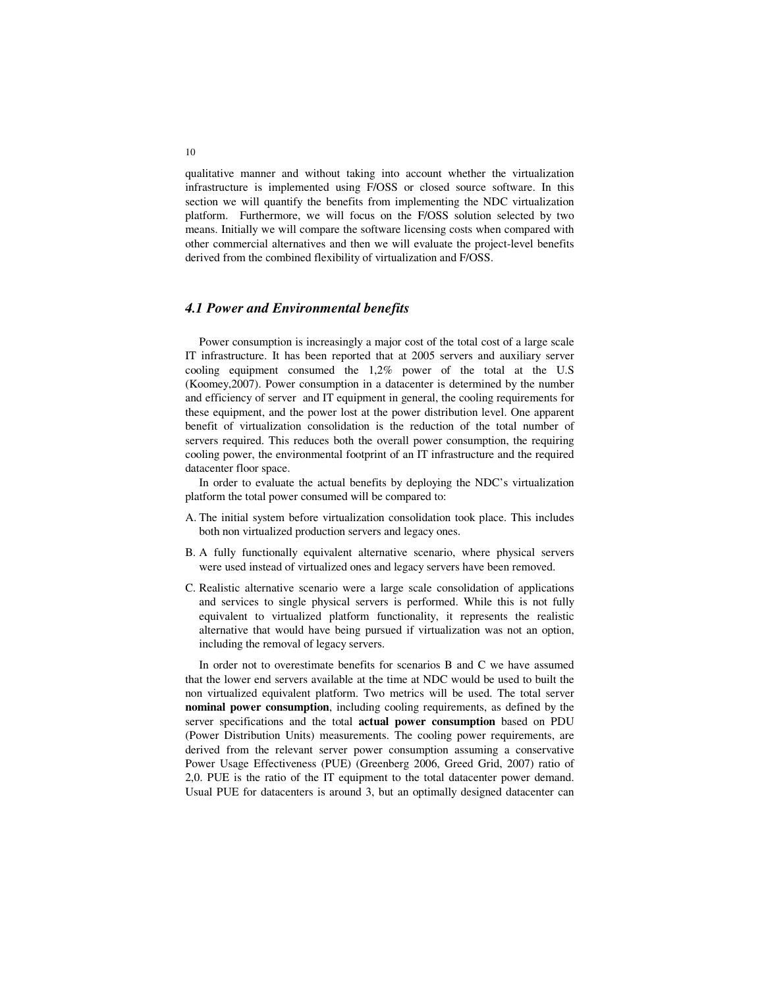qualitative manner and without taking into account whether the virtualization infrastructure is implemented using F/OSS or closed source software. In this section we will quantify the benefits from implementing the NDC virtualization platform. Furthermore, we will focus on the F/OSS solution selected by two means. Initially we will compare the software licensing costs when compared with other commercial alternatives and then we will evaluate the project-level benefits derived from the combined flexibility of virtualization and F/OSS.

### *4.1 Power and Environmental benefits*

Power consumption is increasingly a major cost of the total cost of a large scale IT infrastructure. It has been reported that at 2005 servers and auxiliary server cooling equipment consumed the 1,2% power of the total at the U.S (Koomey,2007). Power consumption in a datacenter is determined by the number and efficiency of server and IT equipment in general, the cooling requirements for these equipment, and the power lost at the power distribution level. One apparent benefit of virtualization consolidation is the reduction of the total number of servers required. This reduces both the overall power consumption, the requiring cooling power, the environmental footprint of an IT infrastructure and the required datacenter floor space.

In order to evaluate the actual benefits by deploying the NDC's virtualization platform the total power consumed will be compared to:

- A. The initial system before virtualization consolidation took place. This includes both non virtualized production servers and legacy ones.
- B. A fully functionally equivalent alternative scenario, where physical servers were used instead of virtualized ones and legacy servers have been removed.
- C. Realistic alternative scenario were a large scale consolidation of applications and services to single physical servers is performed. While this is not fully equivalent to virtualized platform functionality, it represents the realistic alternative that would have being pursued if virtualization was not an option, including the removal of legacy servers.

In order not to overestimate benefits for scenarios B and C we have assumed that the lower end servers available at the time at NDC would be used to built the non virtualized equivalent platform. Two metrics will be used. The total server **nominal power consumption**, including cooling requirements, as defined by the server specifications and the total **actual power consumption** based on PDU (Power Distribution Units) measurements. The cooling power requirements, are derived from the relevant server power consumption assuming a conservative Power Usage Effectiveness (PUE) (Greenberg 2006, Greed Grid, 2007) ratio of 2,0. PUE is the ratio of the IT equipment to the total datacenter power demand. Usual PUE for datacenters is around 3, but an optimally designed datacenter can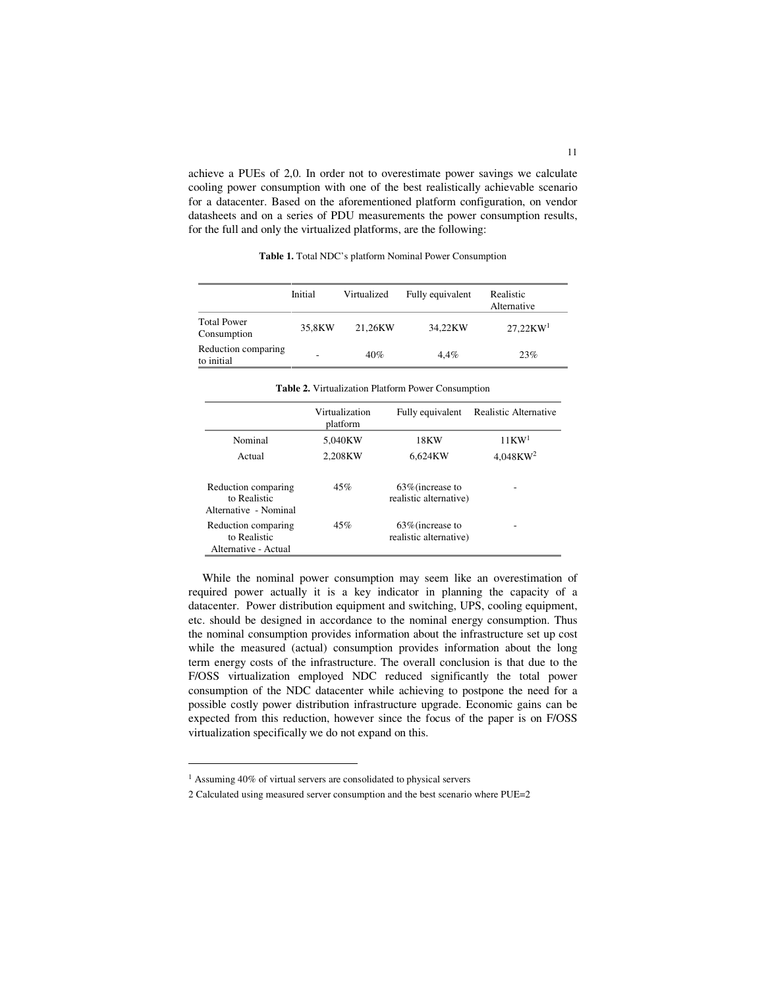achieve a PUEs of 2,0. In order not to overestimate power savings we calculate cooling power consumption with one of the best realistically achievable scenario for a datacenter. Based on the aforementioned platform configuration, on vendor datasheets and on a series of PDU measurements the power consumption results, for the full and only the virtualized platforms, are the following:

|                                   | Initial | Virtualized | Fully equivalent | Realistic<br>Alternative |
|-----------------------------------|---------|-------------|------------------|--------------------------|
| <b>Total Power</b><br>Consumption | 35,8KW  | 21.26KW     | 34.22KW          | 27,22KW <sup>1</sup>     |
| Reduction comparing<br>to initial | -       | 40%         | 4.4%             | 23%                      |

**Table 1.** Total NDC's platform Nominal Power Consumption

**Table 2.** Virtualization Platform Power Consumption

|                                                              | Virtualization<br>platform | Fully equivalent                              | Realistic Alternative   |
|--------------------------------------------------------------|----------------------------|-----------------------------------------------|-------------------------|
| Nominal                                                      | 5.040KW                    | 18KW                                          | $11$ KW <sup>1</sup>    |
| Actual                                                       | 2.208KW                    | 6.624KW                                       | $4.048$ KW <sup>2</sup> |
| Reduction comparing<br>to Realistic<br>Alternative - Nominal | 45%                        | $63\%$ (increase to<br>realistic alternative) |                         |
| Reduction comparing<br>to Realistic<br>Alternative - Actual  | 45%                        | $63\%$ (increase to<br>realistic alternative) |                         |

While the nominal power consumption may seem like an overestimation of required power actually it is a key indicator in planning the capacity of a datacenter. Power distribution equipment and switching, UPS, cooling equipment, etc. should be designed in accordance to the nominal energy consumption. Thus the nominal consumption provides information about the infrastructure set up cost while the measured (actual) consumption provides information about the long term energy costs of the infrastructure. The overall conclusion is that due to the F/OSS virtualization employed NDC reduced significantly the total power consumption of the NDC datacenter while achieving to postpone the need for a possible costly power distribution infrastructure upgrade. Economic gains can be expected from this reduction, however since the focus of the paper is on F/OSS virtualization specifically we do not expand on this.

-

<sup>1</sup> Assuming 40% of virtual servers are consolidated to physical servers

<sup>2</sup> Calculated using measured server consumption and the best scenario where PUE=2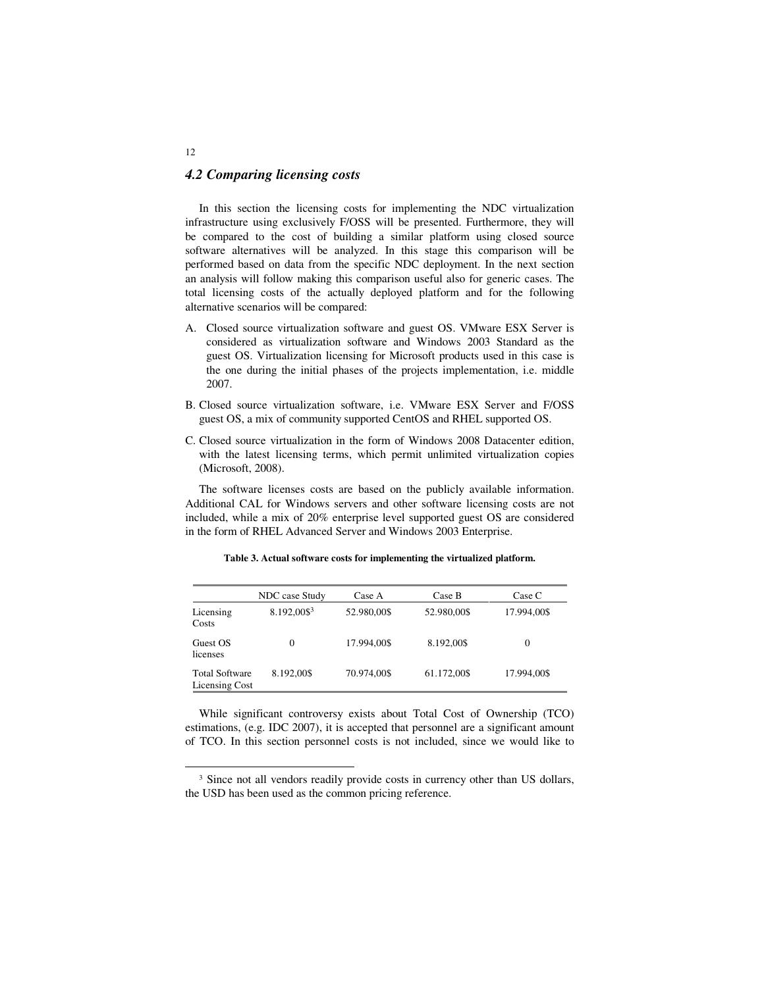### *4.2 Comparing licensing costs*

In this section the licensing costs for implementing the NDC virtualization infrastructure using exclusively F/OSS will be presented. Furthermore, they will be compared to the cost of building a similar platform using closed source software alternatives will be analyzed. In this stage this comparison will be performed based on data from the specific NDC deployment. In the next section an analysis will follow making this comparison useful also for generic cases. The total licensing costs of the actually deployed platform and for the following alternative scenarios will be compared:

- A. Closed source virtualization software and guest OS. VMware ESX Server is considered as virtualization software and Windows 2003 Standard as the guest OS. Virtualization licensing for Microsoft products used in this case is the one during the initial phases of the projects implementation, i.e. middle 2007.
- B. Closed source virtualization software, i.e. VMware ESX Server and F/OSS guest OS, a mix of community supported CentOS and RHEL supported OS.
- C. Closed source virtualization in the form of Windows 2008 Datacenter edition, with the latest licensing terms, which permit unlimited virtualization copies (Microsoft, 2008).

The software licenses costs are based on the publicly available information. Additional CAL for Windows servers and other software licensing costs are not included, while a mix of 20% enterprise level supported guest OS are considered in the form of RHEL Advanced Server and Windows 2003 Enterprise.

|                                         | NDC case Study           | Case A      | Case B      | Case C      |
|-----------------------------------------|--------------------------|-------------|-------------|-------------|
| Licensing<br>Costs                      | $8.192,00\$ <sup>3</sup> | 52.980,00\$ | 52.980,00\$ | 17.994,00\$ |
| Guest OS<br>licenses                    | 0                        | 17.994,00\$ | 8.192,00\$  | $\Omega$    |
| <b>Total Software</b><br>Licensing Cost | 8.192.00\$               | 70.974,00\$ | 61.172,00\$ | 17.994,00\$ |

**Table 3. Actual software costs for implementing the virtualized platform.**

While significant controversy exists about Total Cost of Ownership (TCO) estimations, (e.g. IDC 2007), it is accepted that personnel are a significant amount of TCO. In this section personnel costs is not included, since we would like to

12

 $\overline{a}$ 

<sup>&</sup>lt;sup>3</sup> Since not all vendors readily provide costs in currency other than US dollars, the USD has been used as the common pricing reference.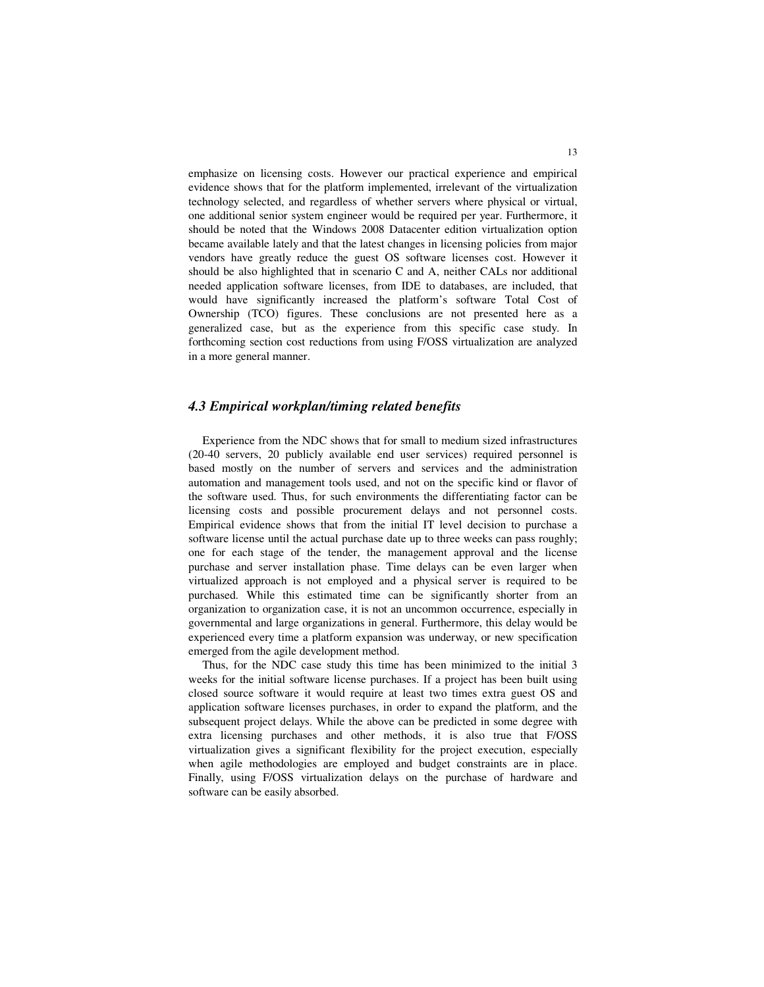emphasize on licensing costs. However our practical experience and empirical evidence shows that for the platform implemented, irrelevant of the virtualization technology selected, and regardless of whether servers where physical or virtual, one additional senior system engineer would be required per year. Furthermore, it should be noted that the Windows 2008 Datacenter edition virtualization option became available lately and that the latest changes in licensing policies from major vendors have greatly reduce the guest OS software licenses cost. However it should be also highlighted that in scenario C and A, neither CALs nor additional needed application software licenses, from IDE to databases, are included, that would have significantly increased the platform's software Total Cost of Ownership (TCO) figures. These conclusions are not presented here as a generalized case, but as the experience from this specific case study. In forthcoming section cost reductions from using F/OSS virtualization are analyzed in a more general manner.

### *4.3 Empirical workplan/timing related benefits*

Experience from the NDC shows that for small to medium sized infrastructures (20-40 servers, 20 publicly available end user services) required personnel is based mostly on the number of servers and services and the administration automation and management tools used, and not on the specific kind or flavor of the software used. Thus, for such environments the differentiating factor can be licensing costs and possible procurement delays and not personnel costs. Empirical evidence shows that from the initial IT level decision to purchase a software license until the actual purchase date up to three weeks can pass roughly; one for each stage of the tender, the management approval and the license purchase and server installation phase. Time delays can be even larger when virtualized approach is not employed and a physical server is required to be purchased. While this estimated time can be significantly shorter from an organization to organization case, it is not an uncommon occurrence, especially in governmental and large organizations in general. Furthermore, this delay would be experienced every time a platform expansion was underway, or new specification emerged from the agile development method.

Thus, for the NDC case study this time has been minimized to the initial 3 weeks for the initial software license purchases. If a project has been built using closed source software it would require at least two times extra guest OS and application software licenses purchases, in order to expand the platform, and the subsequent project delays. While the above can be predicted in some degree with extra licensing purchases and other methods, it is also true that F/OSS virtualization gives a significant flexibility for the project execution, especially when agile methodologies are employed and budget constraints are in place. Finally, using F/OSS virtualization delays on the purchase of hardware and software can be easily absorbed.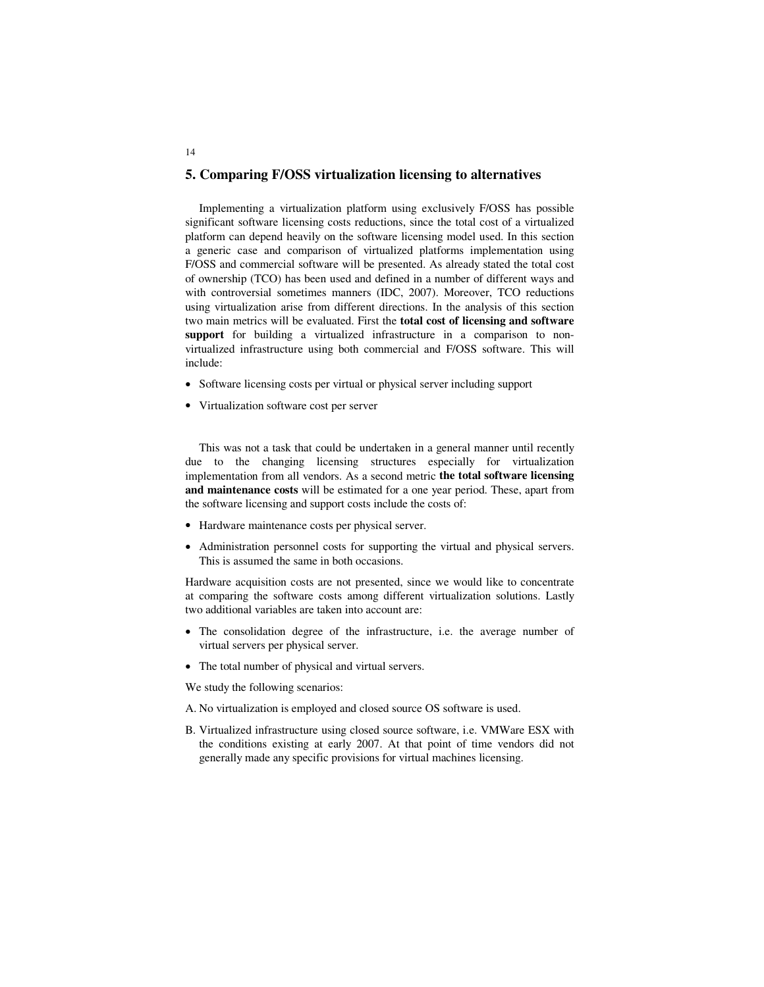### **5. Comparing F/OSS virtualization licensing to alternatives**

Implementing a virtualization platform using exclusively F/OSS has possible significant software licensing costs reductions, since the total cost of a virtualized platform can depend heavily on the software licensing model used. In this section a generic case and comparison of virtualized platforms implementation using F/OSS and commercial software will be presented. As already stated the total cost of ownership (TCO) has been used and defined in a number of different ways and with controversial sometimes manners (IDC, 2007). Moreover, TCO reductions using virtualization arise from different directions. In the analysis of this section two main metrics will be evaluated. First the **total cost of licensing and software**  support for building a virtualized infrastructure in a comparison to nonvirtualized infrastructure using both commercial and F/OSS software. This will include:

- Software licensing costs per virtual or physical server including support
- Virtualization software cost per server

14

This was not a task that could be undertaken in a general manner until recently due to the changing licensing structures especially for virtualization implementation from all vendors. As a second metric **the total software licensing and maintenance costs** will be estimated for a one year period. These, apart from the software licensing and support costs include the costs of:

- Hardware maintenance costs per physical server.
- Administration personnel costs for supporting the virtual and physical servers. This is assumed the same in both occasions.

Hardware acquisition costs are not presented, since we would like to concentrate at comparing the software costs among different virtualization solutions. Lastly two additional variables are taken into account are:

- The consolidation degree of the infrastructure, i.e. the average number of virtual servers per physical server.
- The total number of physical and virtual servers.

We study the following scenarios:

- A. No virtualization is employed and closed source OS software is used.
- B. Virtualized infrastructure using closed source software, i.e. VMWare ESX with the conditions existing at early 2007. At that point of time vendors did not generally made any specific provisions for virtual machines licensing.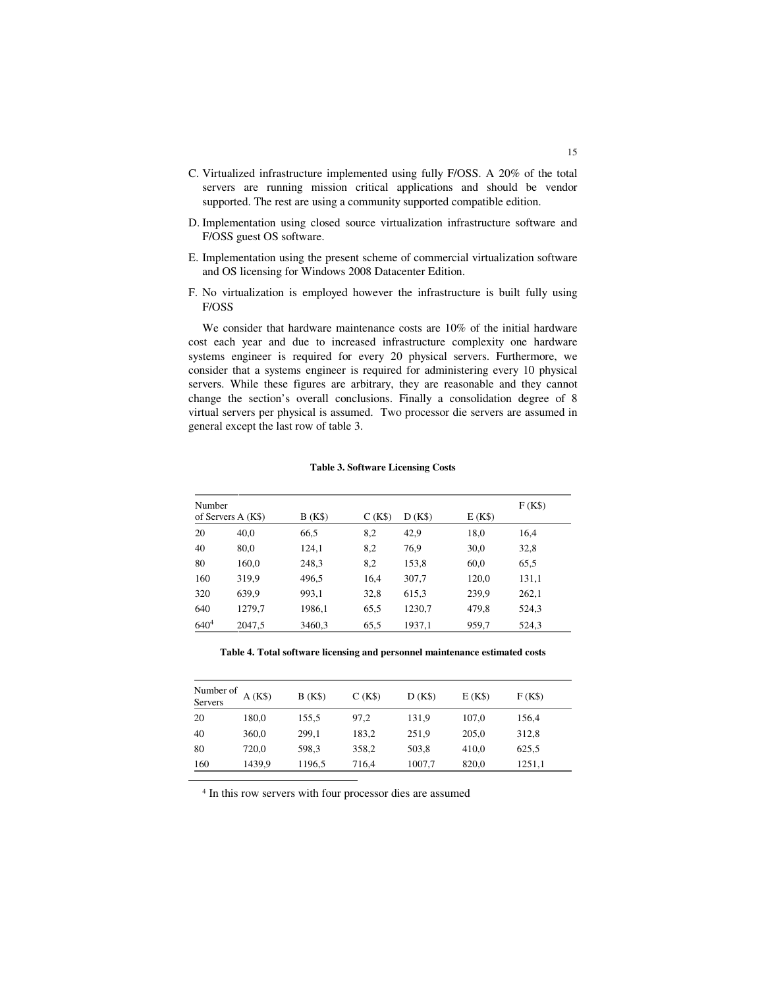- C. Virtualized infrastructure implemented using fully F/OSS. A 20% of the total servers are running mission critical applications and should be vendor supported. The rest are using a community supported compatible edition.
- D. Implementation using closed source virtualization infrastructure software and F/OSS guest OS software.
- E. Implementation using the present scheme of commercial virtualization software and OS licensing for Windows 2008 Datacenter Edition.
- F. No virtualization is employed however the infrastructure is built fully using F/OSS

We consider that hardware maintenance costs are 10% of the initial hardware cost each year and due to increased infrastructure complexity one hardware systems engineer is required for every 20 physical servers. Furthermore, we consider that a systems engineer is required for administering every 10 physical servers. While these figures are arbitrary, they are reasonable and they cannot change the section's overall conclusions. Finally a consolidation degree of 8 virtual servers per physical is assumed. Two processor die servers are assumed in general except the last row of table 3.

|           | Number             |        |        |        |        |       |  |
|-----------|--------------------|--------|--------|--------|--------|-------|--|
|           | of Servers A (K\$) | B(K\$) | C(K\$) | D(K\$) | E(K\$) |       |  |
| 20        | 40,0               | 66,5   | 8,2    | 42,9   | 18,0   | 16,4  |  |
| 40        | 80,0               | 124,1  | 8,2    | 76,9   | 30,0   | 32,8  |  |
| 80        | 160,0              | 248,3  | 8,2    | 153,8  | 60,0   | 65.5  |  |
| 160       | 319,9              | 496.5  | 16,4   | 307,7  | 120,0  | 131,1 |  |
| 320       | 639.9              | 993,1  | 32,8   | 615,3  | 239.9  | 262,1 |  |
| 640       | 1279,7             | 1986,1 | 65,5   | 1230,7 | 479,8  | 524,3 |  |
| $640^{4}$ | 2047,5             | 3460,3 | 65,5   | 1937,1 | 959,7  | 524,3 |  |

### **Table 3. Software Licensing Costs**

**Table 4. Total software licensing and personnel maintenance estimated costs** 

| Number of<br><b>Servers</b> | A(K\$) | B(K\$) | C(K\$) | D(K\$) | E(K\$) | F(KS)  |
|-----------------------------|--------|--------|--------|--------|--------|--------|
| 20                          | 180,0  | 155.5  | 97,2   | 131,9  | 107.0  | 156,4  |
| 40                          | 360,0  | 299,1  | 183,2  | 251,9  | 205,0  | 312,8  |
| 80                          | 720.0  | 598.3  | 358,2  | 503.8  | 410.0  | 625,5  |
| 160                         | 1439,9 | 1196,5 | 716,4  | 1007,7 | 820,0  | 1251,1 |

4 In this row servers with four processor dies are assumed

-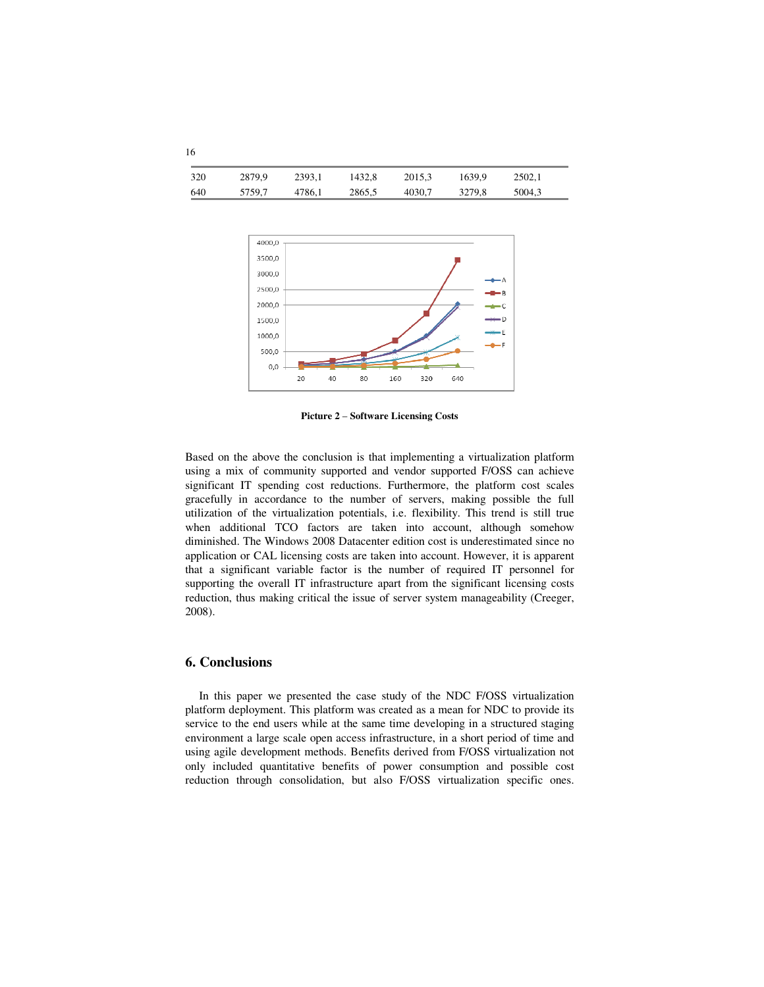| 320 | 2879.9 | 2393.1 | 1432.8 | 2015.3 | 1639.9 | 2502.1 |
|-----|--------|--------|--------|--------|--------|--------|
| 640 | 5759.7 | 4786.1 | 2865,5 | 4030.7 | 3279.8 | 5004,3 |



**Picture 2** – **Software Licensing Costs**

Based on the above the conclusion is that implementing a virtualization platform using a mix of community supported and vendor supported F/OSS can achieve significant IT spending cost reductions. Furthermore, the platform cost scales gracefully in accordance to the number of servers, making possible the full utilization of the virtualization potentials, i.e. flexibility. This trend is still true when additional TCO factors are taken into account, although somehow diminished. The Windows 2008 Datacenter edition cost is underestimated since no application or CAL licensing costs are taken into account. However, it is apparent that a significant variable factor is the number of required IT personnel for supporting the overall IT infrastructure apart from the significant licensing costs reduction, thus making critical the issue of server system manageability (Creeger, 2008).

### **6. Conclusions**

In this paper we presented the case study of the NDC F/OSS virtualization platform deployment. This platform was created as a mean for NDC to provide its service to the end users while at the same time developing in a structured staging environment a large scale open access infrastructure, in a short period of time and using agile development methods. Benefits derived from F/OSS virtualization not only included quantitative benefits of power consumption and possible cost reduction through consolidation, but also F/OSS virtualization specific ones.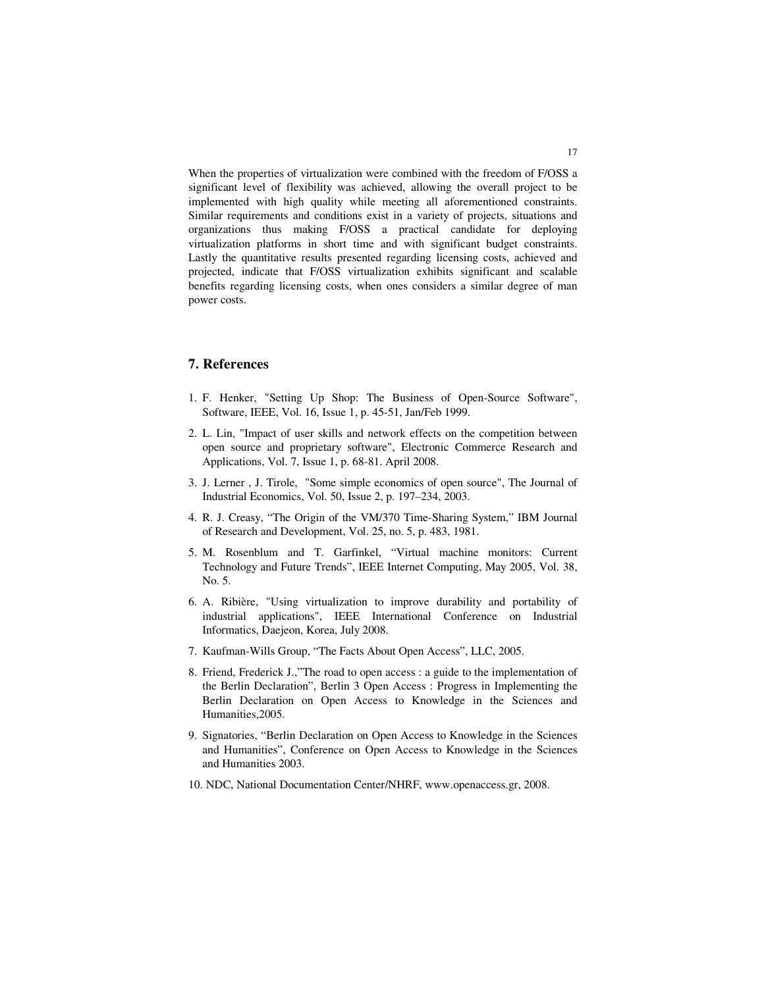When the properties of virtualization were combined with the freedom of F/OSS a significant level of flexibility was achieved, allowing the overall project to be implemented with high quality while meeting all aforementioned constraints. Similar requirements and conditions exist in a variety of projects, situations and organizations thus making F/OSS a practical candidate for deploying virtualization platforms in short time and with significant budget constraints. Lastly the quantitative results presented regarding licensing costs, achieved and projected, indicate that F/OSS virtualization exhibits significant and scalable benefits regarding licensing costs, when ones considers a similar degree of man power costs.

### **7. References**

- 1. F. Henker, "Setting Up Shop: The Business of Open-Source Software", Software, IEEE, Vol. 16, Issue 1, p. 45-51, Jan/Feb 1999.
- 2. L. Lin, "Impact of user skills and network effects on the competition between open source and proprietary software", Electronic Commerce Research and Applications, Vol. 7, Issue 1, p. 68-81. April 2008.
- 3. J. Lerner , J. Tirole, "Some simple economics of open source", The Journal of Industrial Economics, Vol. 50, Issue 2, p. 197–234, 2003.
- 4. R. J. Creasy, "The Origin of the VM/370 Time-Sharing System," IBM Journal of Research and Development, Vol. 25, no. 5, p. 483, 1981.
- 5. M. Rosenblum and T. Garfinkel, "Virtual machine monitors: Current Technology and Future Trends", IEEE Internet Computing, May 2005, Vol. 38, No. 5.
- 6. A. Ribière, "Using virtualization to improve durability and portability of industrial applications", IEEE International Conference on Industrial Informatics, Daejeon, Korea, July 2008.
- 7. Kaufman-Wills Group, "The Facts About Open Access", LLC, 2005.
- 8. Friend, Frederick J.,"The road to open access : a guide to the implementation of the Berlin Declaration", Berlin 3 Open Access : Progress in Implementing the Berlin Declaration on Open Access to Knowledge in the Sciences and Humanities,2005.
- 9. Signatories, "Berlin Declaration on Open Access to Knowledge in the Sciences and Humanities", Conference on Open Access to Knowledge in the Sciences and Humanities 2003.
- 10. NDC, National Documentation Center/NHRF, www.openaccess.gr, 2008.